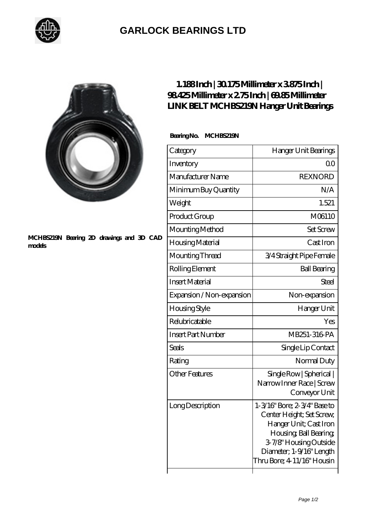

## **[GARLOCK BEARINGS LTD](https://m.letterstopriests.com)**

## **[MCHBS219N Bearing 2D drawings and 3D CAD](https://m.letterstopriests.com/pic-189069.html) [models](https://m.letterstopriests.com/pic-189069.html)**

## **[1.188 Inch | 30.175 Millimeter x 3.875 Inch |](https://m.letterstopriests.com/bb-189069-link-belt-mchbs219n-hanger-unit-bearings.html) [98.425 Millimeter x 2.75 Inch | 69.85 Millimeter](https://m.letterstopriests.com/bb-189069-link-belt-mchbs219n-hanger-unit-bearings.html) [LINK BELT MCHBS219N Hanger Unit Bearings](https://m.letterstopriests.com/bb-189069-link-belt-mchbs219n-hanger-unit-bearings.html)**

 **Bearing No. MCHBS219N**

| Category                  | Hanger Unit Bearings                                                                                                                                                                              |
|---------------------------|---------------------------------------------------------------------------------------------------------------------------------------------------------------------------------------------------|
| Inventory                 | QΟ                                                                                                                                                                                                |
| Manufacturer Name         | <b>REXNORD</b>                                                                                                                                                                                    |
| Minimum Buy Quantity      | N/A                                                                                                                                                                                               |
| Weight                    | 1.521                                                                                                                                                                                             |
| Product Group             | M06110                                                                                                                                                                                            |
| Mounting Method           | <b>Set Screw</b>                                                                                                                                                                                  |
| Housing Material          | Cast Iron                                                                                                                                                                                         |
| Mounting Thread           | 3/4 Straight Pipe Female                                                                                                                                                                          |
| Rolling Element           | <b>Ball Bearing</b>                                                                                                                                                                               |
| <b>Insert Material</b>    | Steel                                                                                                                                                                                             |
| Expansion / Non-expansion | Non-expansion                                                                                                                                                                                     |
| Housing Style             | Hanger Unit                                                                                                                                                                                       |
| Relubricatable            | Yes                                                                                                                                                                                               |
| <b>Insert Part Number</b> | MB251-316 PA                                                                                                                                                                                      |
| <b>Seals</b>              | Single Lip Contact                                                                                                                                                                                |
| Rating                    | Normal Duty                                                                                                                                                                                       |
| <b>Other Features</b>     | Single Row   Spherical  <br>Narrow Inner Race   Screw<br>Conveyor Unit                                                                                                                            |
| Long Description          | 1-3/16" Bore: 2-3/4" Base to<br>Center Height; Set Screw,<br>Hanger Unit; Cast Iron<br>Housing, Ball Bearing,<br>3-7/8" Housing Outside<br>Diameter; 1-9/16" Length<br>Thru Bore; 4 11/16" Housin |